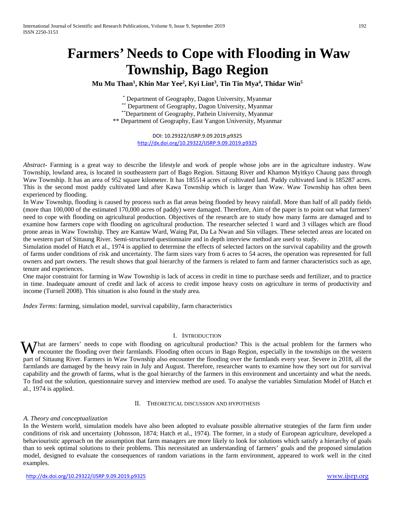# **Farmers' Needs to Cope with Flooding in Waw Township, Bago Region**

**Mu Mu Than1 , Khin Mar Yee2 , Kyi Lint3 , Tin Tin Mya4 , Thidar Win5**

\* Department of Geography, Dagon University, Myanmar

\*\* Department of Geography, Dagon University, Myanmar

\*\*Department of Geography, Pathein University, Myanmar

\*\* Department of Geography, East Yangon University, Myanmar

DOI: 10.29322/IJSRP.9.09.2019.p9325 <http://dx.doi.org/10.29322/IJSRP.9.09.2019.p9325>

*Abstract-* Farming is a great way to describe the lifestyle and work of people whose jobs are in the agriculture industry. Waw Township, lowland area, is located in southeastern part of Bago Region. Sittaung River and Khamon Myitkyo Chaung pass through Waw Township. It has an area of 952 square kilometer. It has 185514 acres of cultivated land. Paddy cultivated land is 185287 acres. This is the second most paddy cultivated land after Kawa Township which is larger than Waw. Waw Township has often been experienced by flooding.

In Waw Township, flooding is caused by process such as flat areas being flooded by heavy rainfall. More than half of all paddy fields (more than 100,000 of the estimated 170,000 acres of paddy) were damaged. Therefore, Aim of the paper is to point out what farmers' need to cope with flooding on agricultural production. Objectives of the research are to study how many farms are damaged and to examine how farmers cope with flooding on agricultural production. The researcher selected 1 ward and 3 villages which are flood prone areas in Waw Township. They are Kantaw Ward, Waing Pat, Da La Nwan and Sin villages. These selected areas are located on the western part of Sittaung River. Semi-structured questionnaire and in depth interview method are used to study.

Simulation model of Hatch et al., 1974 is applied to determine the effects of selected factors on the survival capability and the growth of farms under conditions of risk and uncertainty. The farm sizes vary from 6 acres to 54 acres, the operation was represented for full owners and part owners. The result shows that goal hierarchy of the farmers is related to farm and farmer characteristics such as age, tenure and experiences.

One major constraint for farming in Waw Township is lack of access in credit in time to purchase seeds and fertilizer, and to practice in time. Inadequate amount of credit and lack of access to credit impose heavy costs on agriculture in terms of productivity and income (Turnell 2008). This situation is also found in the study area.

*Index Terms*: farming, simulation model, survival capability, farm characteristics

# I. INTRODUCTION

What are farmers' needs to cope with flooding on agricultural production? This is the actual problem for the farmers who encounter the flooding over their farmlands. Flooding often occurs in Bago Region, especially in the encounter the flooding over their farmlands. Flooding often occurs in Bago Region, especially in the townships on the western part of Sittaung River. Farmers in Waw Township also encounter the flooding over the farmlands every year. Severe in 2018, all the farmlands are damaged by the heavy rain in July and August. Therefore, researcher wants to examine how they sort out for survival capability and the growth of farms, what is the goal hierarchy of the farmers in this environment and uncertainty and what the needs. To find out the solution, questionnaire survey and interview method are used. To analyse the variables Simulation Model of Hatch et al., 1974 is applied.

#### II. THEORETICAL DISCUSSION AND HYPOTHESIS

# *A. Theory and conceptualization*

In the Western world, simulation models have also been adopted to evaluate possible alternative strategies of the farm firm under conditions of risk and uncertainty (Johnsson, 1874; Hatch et al., 1974). The former, in a study of European agriculture, developed a behaviouristic approach on the assumption that farm managers are more likely to look for solutions which satisfy a hierarchy of goals than to seek optimal solutions to their problems. This necessitated an understanding of farmers' goals and the proposed simulation model, designed to evaluate the consequences of random variations in the farm environment, appeared to work well in the cited examples.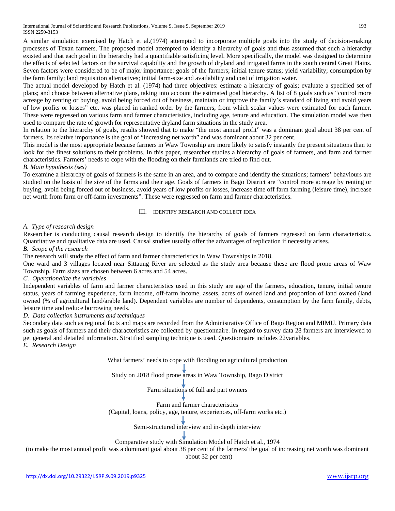International Journal of Scientific and Research Publications, Volume 9, Issue 9, September 2019 193 ISSN 2250-3153

A similar simulation exercised by Hatch et al.(1974) attempted to incorporate multiple goals into the study of decision-making processes of Texan farmers. The proposed model attempted to identify a hierarchy of goals and thus assumed that such a hierarchy existed and that each goal in the hierarchy had a quantifiable satisficing level. More specifically, the model was designed to determine the effects of selected factors on the survival capability and the growth of dryland and irrigated farms in the south central Great Plains. Seven factors were considered to be of major importance: goals of the farmers; initial tenure status; yield variability; consumption by the farm family; land requisition alternatives; initial farm-size and availability and cost of irrigation water.

The actual model developed by Hatch et al. (1974) had three objectives: estimate a hierarchy of goals; evaluate a specified set of plans; and choose between alternative plans, taking into account the estimated goal hierarchy. A list of 8 goals such as "control more acreage by renting or buying, avoid being forced out of business, maintain or improve the family's standard of living and avoid years of low profits or losses" etc. was placed in ranked order by the farmers, from which scalar values were estimated for each farmer. These were regressed on various farm and farmer characteristics, including age, tenure and education. The simulation model was then used to compare the rate of growth for representative dryland farm situations in the study area.

In relation to the hierarchy of goals, results showed that to make "the most annual profit" was a dominant goal about 38 per cent of farmers. Its relative importance is the goal of "increasing net worth" and was dominant about 32 per cent.

This model is the most appropriate because farmers in Waw Township are more likely to satisfy instantly the present situations than to look for the finest solutions to their problems. In this paper, researcher studies a hierarchy of goals of farmers, and farm and farmer characteristics. Farmers' needs to cope with the flooding on their farmlands are tried to find out.

#### *B. Main hypothesis (ses)*

To examine a hierarchy of goals of farmers is the same in an area, and to compare and identify the situations; farmers' behaviours are studied on the basis of the size of the farms and their age. Goals of farmers in Bago District are "control more acreage by renting or buying, avoid being forced out of business, avoid years of low profits or losses, increase time off farm farming (leisure time), increase net worth from farm or off-farm investments". These were regressed on farm and farmer characteristics.

#### III. IDENTIFY RESEARCH AND COLLECT IDEA

# *A. Type of research design*

Researcher is conducting causal research design to identify the hierarchy of goals of farmers regressed on farm characteristics. Quantitative and qualitative data are used. Causal studies usually offer the advantages of replication if necessity arises.

#### *B. Scope of the research*

The research will study the effect of farm and farmer characteristics in Waw Townships in 2018.

One ward and 3 villages located near Sittaung River are selected as the study area because these are flood prone areas of Waw Township. Farm sizes are chosen between 6 acres and 54 acres.

#### *C. Operationalize the variables*

Independent variables of farm and farmer characteristics used in this study are age of the farmers, education, tenure, initial tenure status, years of farming experience, farm income, off-farm income, assets, acres of owned land and proportion of land owned (land owned (% of agricultural land/arable land). Dependent variables are number of dependents, consumption by the farm family, debts, leisure time and reduce borrowing needs.

#### *D. Data collection instruments and techniques*

Secondary data such as regional facts and maps are recorded from the Administrative Office of Bago Region and MIMU. Primary data such as goals of farmers and their characteristics are collected by questionnaire. In regard to survey data 28 farmers are interviewed to get general and detailed information. Stratified sampling technique is used. Questionnaire includes 22variables.

*E. Research Design*

What farmers' needs to cope with flooding on agricultural production

Study on 2018 flood prone areas in Waw Township, Bago District

Farm situations of full and part owners

Farm and farmer characteristics

(Capital, loans, policy, age, tenure, experiences, off-farm works etc.)

Semi-structured interview and in-depth interview

#### Comparative study with Simulation Model of Hatch et al., 1974

(to make the most annual profit was a dominant goal about 38 per cent of the farmers/ the goal of increasing net worth was dominant about 32 per cent)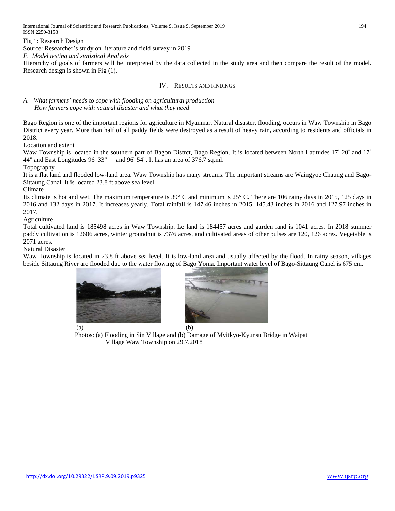International Journal of Scientific and Research Publications, Volume 9, Issue 9, September 2019 194 ISSN 2250-3153

Fig 1: Research Design

Source: Researcher's study on literature and field survey in 2019

*F. Model testing and statistical Analysis* 

Hierarchy of goals of farmers will be interpreted by the data collected in the study area and then compare the result of the model. Research design is shown in Fig (1).

#### IV. RESULTS AND FINDINGS

*A. What farmers' needs to cope with flooding on agricultural production How farmers cope with natural disaster and what they need* 

Bago Region is one of the important regions for agriculture in Myanmar. Natural disaster, flooding, occurs in Waw Township in Bago District every year. More than half of all paddy fields were destroyed as a result of heavy rain, according to residents and officials in 2018.

Location and extent

Waw Township is located in the southern part of Bagon Distrct, Bago Region. It is located between North Latitudes 17° 20" and 17° 44" and East Longitudes 96° 33" and 96° 54". It has an area of 376.7 sq.ml.

Topography

It is a flat land and flooded low-land area. Waw Township has many streams. The important streams are Waingyoe Chaung and Bago-Sittaung Canal. It is located 23.8 ft above sea level.

Climate

Its climate is hot and wet. The maximum temperature is 39° C and minimum is 25° C. There are 106 rainy days in 2015, 125 days in 2016 and 132 days in 2017. It increases yearly. Total rainfall is 147.46 inches in 2015, 145.43 inches in 2016 and 127.97 inches in 2017.

Agriculture

Total cultivated land is 185498 acres in Waw Township. Le land is 184457 acres and garden land is 1041 acres. In 2018 summer paddy cultivation is 12606 acres, winter groundnut is 7376 acres, and cultivated areas of other pulses are 120, 126 acres. Vegetable is 2071 acres.

Natural Disaster

Waw Township is located in 23.8 ft above sea level. It is low-land area and usually affected by the flood. In rainy season, villages beside Sittaung River are flooded due to the water flowing of Bago Yoma. Important water level of Bago-Sittaung Canel is 675 cm.





 Photos: (a) Flooding in Sin Village and (b) Damage of Myitkyo-Kyunsu Bridge in Waipat Village Waw Township on 29.7.2018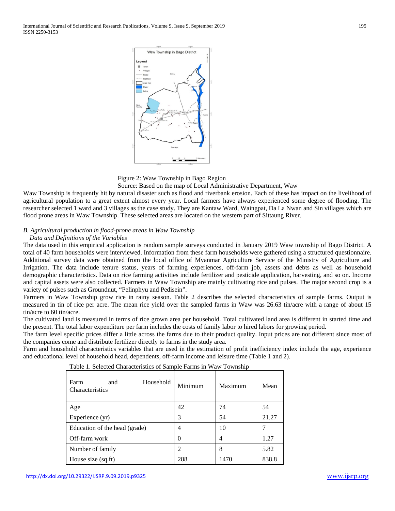



Source: Based on the map of Local Administrative Department, Waw

Waw Township is frequently hit by natural disaster such as flood and riverbank erosion. Each of these has impact on the livelihood of agricultural population to a great extent almost every year. Local farmers have always experienced some degree of flooding. The researcher selected 1 ward and 3 villages as the case study. They are Kantaw Ward, Waingpat, Da La Nwan and Sin villages which are flood prone areas in Waw Township. These selected areas are located on the western part of Sittaung River.

## *B. Agricultural production in flood-prone areas in Waw Township*

#### *Data and Definitions of the Variables*

The data used in this empirical application is random sample surveys conducted in January 2019 Waw township of Bago District. A total of 40 farm households were interviewed. Information from these farm households were gathered using a structured questionnaire. Additional survey data were obtained from the local office of Myanmar Agriculture Service of the Ministry of Agriculture and Irrigation. The data include tenure status, years of farming experiences, off-farm job, assets and debts as well as household demographic characteristics. Data on rice farming activities include fertilizer and pesticide application, harvesting, and so on. Income and capital assets were also collected. Farmers in Waw Township are mainly cultivating rice and pulses. The major second crop is a variety of pulses such as Groundnut, "Pelinphyu and Pedisein".

Farmers in Waw Township grow rice in rainy season. Table 2 describes the selected characteristics of sample farms. Output is measured in tin of rice per acre. The mean rice yield over the sampled farms in Waw was 26.63 tin/acre with a range of about 15 tin/acre to 60 tin/acre.

The cultivated land is measured in terms of rice grown area per household. Total cultivated land area is different in started time and the present. The total labor expenditure per farm includes the costs of family labor to hired labors for growing period.

The farm level specific prices differ a little across the farms due to their product quality. Input prices are not different since most of the companies come and distribute fertilizer directly to farms in the study area.

Farm and household characteristics variables that are used in the estimation of profit inefficiency index include the age, experience and educational level of household head, dependents, off-farm income and leisure time (Table 1 and 2).

| Farm<br>Household<br>and<br>Characteristics | Minimum        | Maximum | Mean  |
|---------------------------------------------|----------------|---------|-------|
| Age                                         | 42             | 74      | 54    |
| Experience (yr)                             | 3              | 54      | 21.27 |
| Education of the head (grade)               | $\overline{4}$ | 10      |       |
| Off-farm work                               | 0              | 4       | 1.27  |
| Number of family                            | $\mathfrak{D}$ | 8       | 5.82  |
| House size (sq.ft)                          | 288            | 1470    | 838.8 |

Table 1. Selected Characteristics of Sample Farms in Waw Township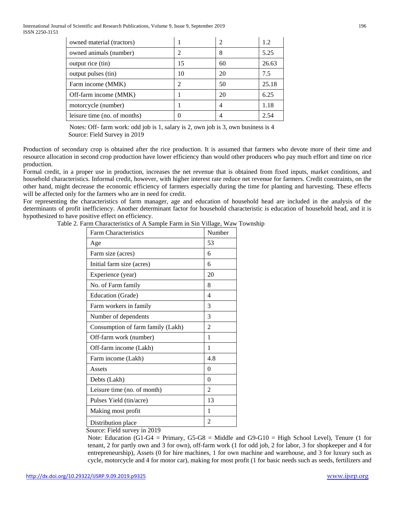International Journal of Scientific and Research Publications, Volume 9, Issue 9, September 2019 196 ISSN 2250-3153

| owned material (tractors)    |    | 2  | 1.2   |
|------------------------------|----|----|-------|
| owned animals (number)       |    | 8  | 5.25  |
| output rice (tin)            | 15 | 60 | 26.63 |
| output pulses (tin)          | 10 | 20 | 7.5   |
| Farm income (MMK)            |    | 50 | 25.18 |
| Off-farm income (MMK)        |    | 20 | 6.25  |
| motorcycle (number)          |    |    | 1.18  |
| leisure time (no. of months) |    |    | 2.54  |

Notes: Off- farm work: odd job is 1, salary is 2, own job is 3, own business is 4 Source: Field Survey in 2019

Production of secondary crop is obtained after the rice production. It is assumed that farmers who devote more of their time and resource allocation in second crop production have lower efficiency than would other producers who pay much effort and time on rice production.

Formal credit, in a proper use in production, increases the net revenue that is obtained from fixed inputs, market conditions, and household characteristics. Informal credit, however, with higher interest rate reduce net revenue for farmers. Credit constraints, on the other hand, might decrease the economic efficiency of farmers especially during the time for planting and harvesting. These effects will be affected only for the farmers who are in need for credit.

For representing the characteristics of farm manager, age and education of household head are included in the analysis of the determinants of profit inefficiency. Another determinant factor for household characteristic is education of household head, and it is hypothesized to have positive effect on efficiency.

Table 2. Farm Characteristics of A Sample Farm in Sin Village, Waw Township

| <b>Farm Characteristics</b>       | Number         |
|-----------------------------------|----------------|
| Age                               | 53             |
| Farm size (acres)                 | 6              |
| Initial farm size (acres)         | 6              |
| Experience (year)                 | 20             |
| No. of Farm family                | 8              |
| Education (Grade)                 | 4              |
| Farm workers in family            | 3              |
| Number of dependents              | 3              |
| Consumption of farm family (Lakh) | 2              |
| Off-farm work (number)            | 1              |
| Off-farm income (Lakh)            | 1              |
| Farm income (Lakh)                | 4.8            |
| Assets                            | 0              |
| Debts (Lakh)                      | 0              |
| Leisure time (no. of month)       | $\overline{2}$ |
| Pulses Yield (tin/acre)           | 13             |
| Making most profit                | 1              |
| Distribution place                | $\mathfrak{D}$ |

Source: Field survey in 2019

Note: Education  $(G1-G4 = Primary, G5-G8 = Middle and G9-G10 = High School Level)$ , Tenure (1 for tenant, 2 for partly own and 3 for own), off-farm work (1 for odd job, 2 for labor, 3 for shopkeeper and 4 for entrepreneurship), Assets (0 for hire machines, 1 for own machine and warehouse, and 3 for luxury such as cycle, motorcycle and 4 for motor car), making for most profit (1 for basic needs such as seeds, fertilizers and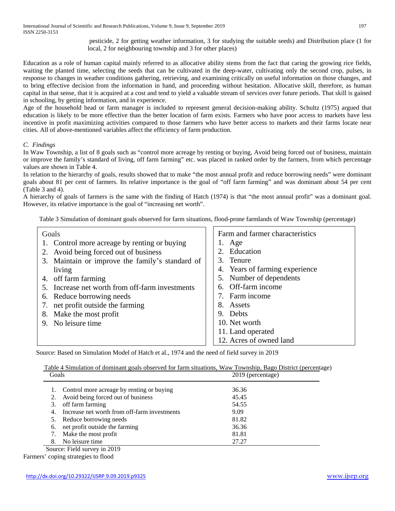pesticide, 2 for getting weather information, 3 for studying the suitable seeds) and Distribution place (1 for local, 2 for neighbouring township and 3 for other places)

Education as a role of human capital mainly referred to as allocative ability stems from the fact that caring the growing rice fields, waiting the planted time, selecting the seeds that can be cultivated in the deep-water, cultivating only the second crop, pulses, in response to changes in weather conditions gathering, retrieving, and examining critically on useful information on those changes, and to bring effective decision from the information in hand, and proceeding without hesitation. Allocative skill, therefore, as human capital in that sense, that it is acquired at a cost and tend to yield a valuable stream of services over future periods. That skill is gained in schooling, by getting information, and in experience.

Age of the household head or farm manager is included to represent general decision-making ability. Schultz (1975) argued that education is likely to be more effective than the better location of farm exists. Farmers who have poor access to markets have less incentive in profit maximizing activities compared to those farmers who have better access to markets and their farms locate near cities. All of above-mentioned variables affect the efficiency of farm production.

## *C. Findings*

In Waw Township, a list of 8 goals such as "control more acreage by renting or buying, Avoid being forced out of business, maintain or improve the family's standard of living, off farm farming" etc. was placed in ranked order by the farmers, from which percentage values are shown in Table 4.

In relation to the hierarchy of goals, results showed that to make "the most annual profit and reduce borrowing needs" were dominant goals about 81 per cent of farmers. Its relative importance is the goal of "off farm farming" and was dominant about 54 per cent (Table 3 and 4).

A hierarchy of goals of farmers is the same with the finding of Hatch (1974) is that "the most annual profit" was a dominant goal. However, its relative importance is the goal of "increasing net worth".

Table 3 Simulation of dominant goals observed for farm situations, flood-prone farmlands of Waw Township (percentage)

| Goals                                           | Farm and farmer characteristics |
|-------------------------------------------------|---------------------------------|
| 1. Control more acreage by renting or buying    | 1. Age                          |
| Avoid being forced out of business              | 2. Education                    |
| 3. Maintain or improve the family's standard of | 3. Tenure                       |
| living                                          | 4. Years of farming experience  |
| off farm farming<br>4.                          | 5. Number of dependents         |
| Increase net worth from off-farm investments    | 6. Off-farm income              |
| Reduce borrowing needs<br>6.                    | 7. Farm income                  |
| net profit outside the farming<br>7.            | 8. Assets                       |
| Make the most profit<br>8.                      | 9. Debts                        |
| 9. No leisure time                              | 10. Net worth                   |
|                                                 | 11. Land operated               |
|                                                 | 12. Acres of owned land         |

Source: Based on Simulation Model of Hatch et al., 1974 and the need of field survey in 2019

 Table 4 Simulation of dominant goals observed for farm situations, Waw Township, Bago District (percentage) Goals 2019 (percentage)

|    | 1. Control more acreage by renting or buying | 36.36 |  |
|----|----------------------------------------------|-------|--|
| 2. | Avoid being forced out of business           | 45.45 |  |
| 3. | off farm farming                             | 54.55 |  |
| 4. | Increase net worth from off-farm investments | 9.09  |  |
|    | 5. Reduce borrowing needs                    | 81.82 |  |
| 6. | net profit outside the farming               | 36.36 |  |
|    | Make the most profit                         | 81.81 |  |
| 8. | No leisure time                              | 27.27 |  |

Source: Field survey in 2019

Farmers' coping strategies to flood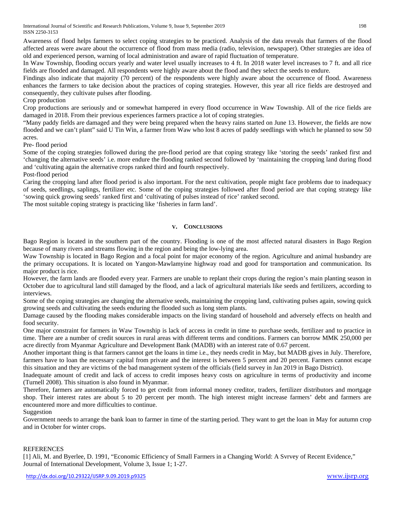International Journal of Scientific and Research Publications, Volume 9, Issue 9, September 2019 198 ISSN 2250-3153

Awareness of flood helps farmers to select coping strategies to be practiced. Analysis of the data reveals that farmers of the flood affected areas were aware about the occurrence of flood from mass media (radio, television, newspaper). Other strategies are idea of old and experienced person, warning of local administration and aware of rapid fluctuation of temperature.

In Waw Township, flooding occurs yearly and water level usually increases to 4 ft. In 2018 water level increases to 7 ft. and all rice fields are flooded and damaged. All respondents were highly aware about the flood and they select the seeds to endure.

Findings also indicate that majority (70 percent) of the respondents were highly aware about the occurrence of flood. Awareness enhances the farmers to take decision about the practices of coping strategies. However, this year all rice fields are destroyed and consequently, they cultivate pulses after flooding.

## Crop production

Crop productions are seriously and or somewhat hampered in every flood occurrence in Waw Township. All of the rice fields are damaged in 2018. From their previous experiences farmers practice a lot of coping strategies.

"Many paddy fields are damaged and they were being prepared when the heavy rains started on June 13. However, the fields are now flooded and we can't plant" said U Tin Win, a farmer from Waw who lost 8 acres of paddy seedlings with which he planned to sow 50 acres.

Pre- flood period

Some of the coping strategies followed during the pre-flood period are that coping strategy like 'storing the seeds' ranked first and 'changing the alternative seeds' i.e. more endure the flooding ranked second followed by 'maintaining the cropping land during flood and 'cultivating again the alternative crops ranked third and fourth respectively.

Post-flood period

Caring the cropping land after flood period is also important. For the next cultivation, people might face problems due to inadequacy of seeds, seedlings, saplings, fertilizer etc. Some of the coping strategies followed after flood period are that coping strategy like 'sowing quick growing seeds' ranked first and 'cultivating of pulses instead of rice' ranked second.

The most suitable coping strategy is practicing like 'fisheries in farm land'.

## **V. CONCLUSIONS**

Bago Region is located in the southern part of the country. Flooding is one of the most affected natural disasters in Bago Region because of many rivers and streams flowing in the region and being the low-lying area.

Waw Township is located in Bago Region and a focal point for major economy of the region. Agriculture and animal husbandry are the primary occupations. It is located on Yangon-Mawlamyine highway road and good for transportation and communication. Its major product is rice.

However, the farm lands are flooded every year. Farmers are unable to replant their crops during the region's main planting season in October due to agricultural land still damaged by the flood, and a lack of agricultural materials like seeds and fertilizers, according to interviews.

Some of the coping strategies are changing the alternative seeds, maintaining the cropping land, cultivating pulses again, sowing quick growing seeds and cultivating the seeds enduring the flooded such as long stem plants.

Damage caused by the flooding makes considerable impacts on the living standard of household and adversely effects on health and food security.

One major constraint for farmers in Waw Township is lack of access in credit in time to purchase seeds, fertilizer and to practice in time. There are a number of credit sources in rural areas with different terms and conditions. Farmers can borrow MMK 250,000 per acre directly from Myanmar Agriculture and Development Bank (MADB) with an interest rate of 0.67 percent.

Another important thing is that farmers cannot get the loans in time i.e., they needs credit in May, but MADB gives in July. Therefore, farmers have to loan the necessary capital from private and the interest is between 5 percent and 20 percent. Farmers cannot escape this situation and they are victims of the bad management system of the officials (field survey in Jan 2019 in Bago District).

Inadequate amount of credit and lack of access to credit imposes heavy costs on agriculture in terms of productivity and income (Turnell 2008). This situation is also found in Myanmar.

Therefore, farmers are automatically forced to get credit from informal money creditor, traders, fertilizer distributors and mortgage shop. Their interest rates are about 5 to 20 percent per month. The high interest might increase farmers' debt and farmers are encountered more and more difficulties to continue.

Suggestion

Government needs to arrange the bank loan to farmer in time of the starting period. They want to get the loan in May for autumn crop and in October for winter crops.

#### REFERENCES

[1] Ali, M. and Byerlee, D. 1991, "Economic Efficiency of Small Farmers in a Changing World: A Svrvey of Recent Evidence," Journal of International Development, Volume 3, Issue 1; 1-27.